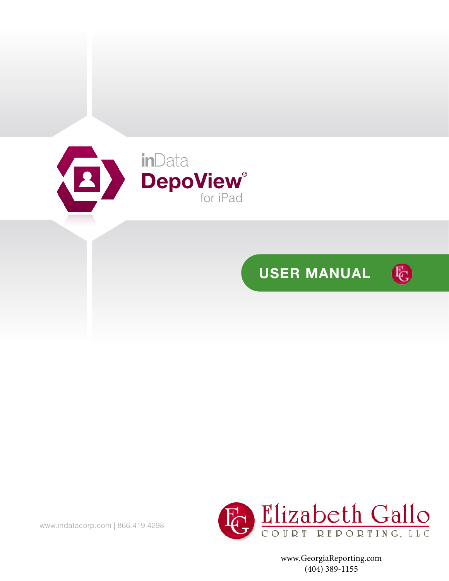





www.GeorgiaReporting.com (404) 389-1155

www.indatacorp.com | 866.419.4298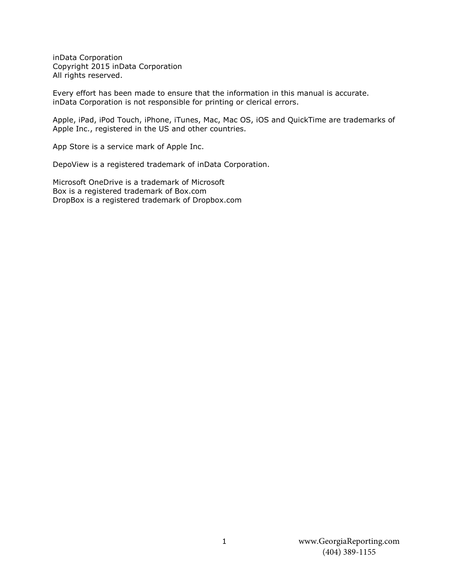inData Corporation Copyright 2015 inData Corporation All rights reserved.

Every effort has been made to ensure that the information in this manual is accurate. inData Corporation is not responsible for printing or clerical errors.

Apple, iPad, iPod Touch, iPhone, iTunes, Mac, Mac OS, iOS and QuickTime are trademarks of Apple Inc., registered in the US and other countries.

App Store is a service mark of Apple Inc.

DepoView is a registered trademark of inData Corporation.

Microsoft OneDrive is a trademark of Microsoft Box is a registered trademark of Box.com DropBox is a registered trademark of Dropbox.com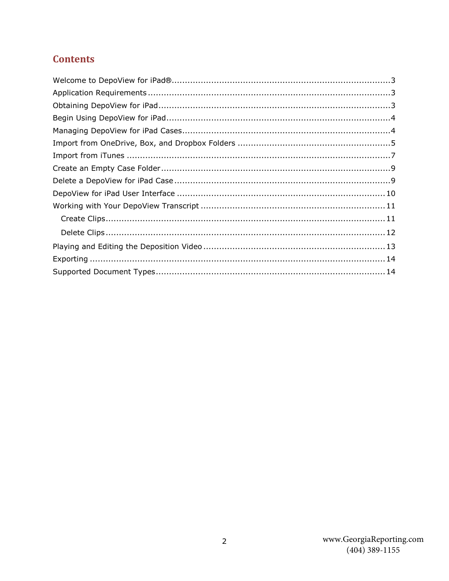# **Contents**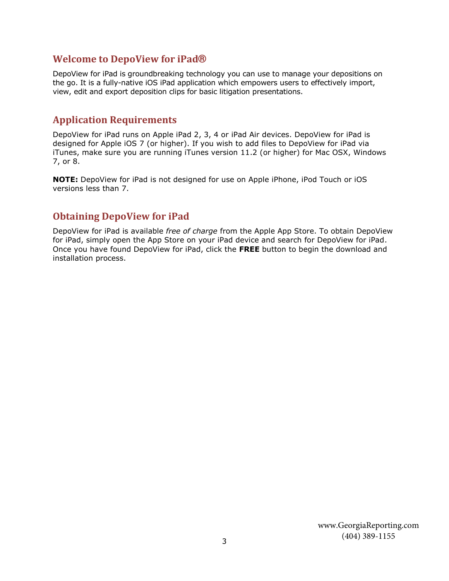#### <span id="page-3-0"></span>**Welcome to DepoView for iPad®**

DepoView for iPad is groundbreaking technology you can use to manage your depositions on the go. It is a fully-native iOS iPad application which empowers users to effectively import, view, edit and export deposition clips for basic litigation presentations.

### <span id="page-3-1"></span>**Application Requirements**

DepoView for iPad runs on Apple iPad 2, 3, 4 or iPad Air devices. DepoView for iPad is designed for Apple iOS 7 (or higher). If you wish to add files to DepoView for iPad via iTunes, make sure you are running iTunes version 11.2 (or higher) for Mac OSX, Windows 7, or 8.

<span id="page-3-2"></span>**NOTE:** DepoView for iPad is not designed for use on Apple iPhone, iPod Touch or iOS versions less than 7.

### **Obtaining DepoView for iPad**

DepoView for iPad is available *free of charge* from the Apple App Store. To obtain DepoView for iPad, simply open the App Store on your iPad device and search for DepoView for iPad. Once you have found DepoView for iPad, click the **FREE** button to begin the download and installation process.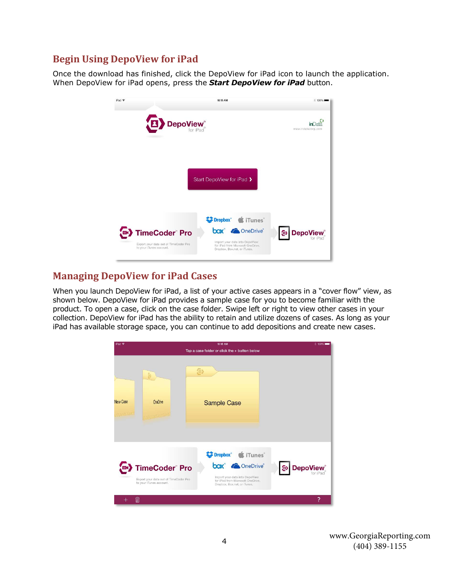### <span id="page-4-0"></span>**Begin Using DepoView for iPad**

Once the download has finished, click the DepoView for iPad icon to launch the application. When DepoView for iPad opens, press the *Start DepoView for iPad* button.



#### <span id="page-4-1"></span>**Managing DepoView for iPad Cases**

When you launch DepoView for iPad, a list of your active cases appears in a "cover flow" view, as shown below. DepoView for iPad provides a sample case for you to become familiar with the product. To open a case, click on the case folder. Swipe left or right to view other cases in your collection. DepoView for iPad has the ability to retain and utilize dozens of cases. As long as your iPad has available storage space, you can continue to add depositions and create new cases.

| iPad 全          |                                                                                                 | 10:15 AM                                                                                                                           | $*$ 100%             |
|-----------------|-------------------------------------------------------------------------------------------------|------------------------------------------------------------------------------------------------------------------------------------|----------------------|
|                 |                                                                                                 | Tap a case folder or click the + button below                                                                                      |                      |
|                 | $\Theta$                                                                                        | @                                                                                                                                  |                      |
| <b>New Case</b> | OneDrive                                                                                        | <b>Sample Case</b>                                                                                                                 |                      |
|                 |                                                                                                 | Dropbox <sup>®</sup> <i>S</i> iTunes <sup>®</sup>                                                                                  |                      |
| $\square$       | TimeCoder <sup>®</sup> Pro<br>Export your data out of TimeCoder Pro-<br>to your iTunes account. | box <sup>®</sup> ConeDrive®<br>Import your data into DepoView<br>for iPad from Microsoft OneDrive.<br>Dropbox, Box.net, or iTunes, | <b>DepoView</b><br>@ |
| 侕<br>÷          |                                                                                                 |                                                                                                                                    | 7                    |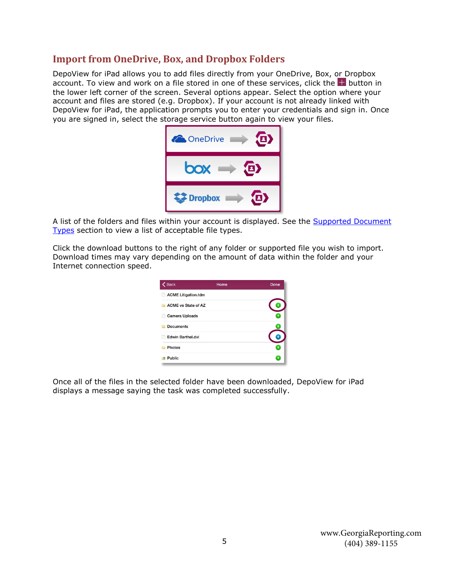#### <span id="page-5-0"></span>**Import from OneDrive, Box, and Dropbox Folders**

DepoView for iPad allows you to add files directly from your OneDrive, Box, or Dropbox account. To view and work on a file stored in one of these services, click the  $\pm$  button in the lower left corner of the screen. Several options appear. Select the option where your account and files are stored (e.g. Dropbox). If your account is not already linked with DepoView for iPad, the application prompts you to enter your credentials and sign in. Once you are signed in, select the storage service button again to view your files.



A list of the folders and files within your account is displayed. See the **Supported Document** [Types](#page-14-1) section to view a list of acceptable file types.

Click the download buttons to the right of any folder or supported file you wish to import. Download times may vary depending on the amount of data within the folder and your Internet connection speed.

| <b>くBack</b>               | Home | Done |
|----------------------------|------|------|
| <b>ACME Litigation.tdm</b> |      |      |
| <b>ACME</b> vs State of AZ |      |      |
| <b>Camera Uploads</b>      |      |      |
| <b>Documents</b>           |      |      |
| <b>Edwin Barthel.dvi</b>   |      |      |
| <b>Photos</b>              |      |      |
| Public                     |      |      |

Once all of the files in the selected folder have been downloaded, DepoView for iPad displays a message saying the task was completed successfully.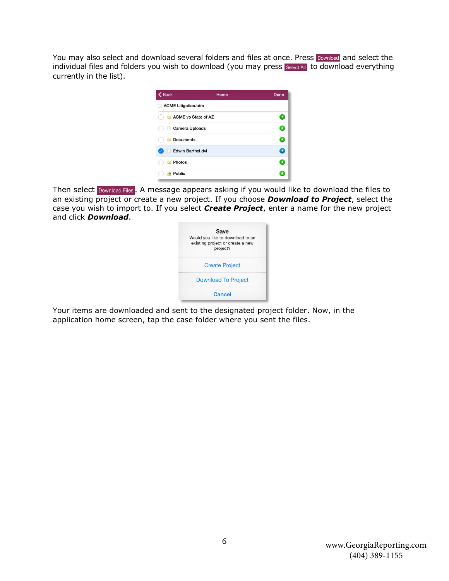You may also select and download several folders and files at once. Press Download and select the individual files and folders you wish to download (you may press Select All to download everything currently in the list).

| $\epsilon$ Back                 | Home | <b>Done</b> |
|---------------------------------|------|-------------|
| <b>ACME Litigation.tdm</b>      |      |             |
| <b>ACME vs State of AZ</b><br>a |      | 土           |
| Camera Uploads                  |      | O           |
| <b>Documents</b>                |      | ٠           |
| <b>Edwin Barthel.dvi</b>        |      | O           |
| Photos                          |      | ۰           |
| Public                          |      | Ξ           |

Then select Download Files . A message appears asking if you would like to download the files to an existing project or create a new project. If you choose *Download to Project*, select the case you wish to import to. If you select *Create Project*, enter a name for the new project and click *Download*.



Your items are downloaded and sent to the designated project folder. Now, in the application home screen, tap the case folder where you sent the files.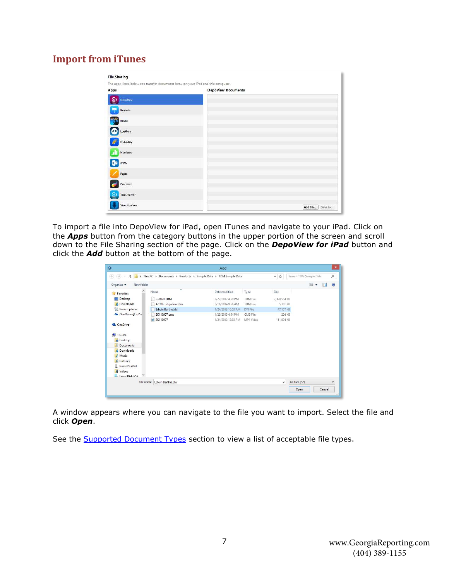## <span id="page-7-0"></span>**Import from iTunes**

| Apps                    | <b>DepoView Documents</b> |  |
|-------------------------|---------------------------|--|
| ම<br><b>DepoView</b>    |                           |  |
| Keynote                 |                           |  |
| Kindle                  |                           |  |
| LogMein                 |                           |  |
| <b>Notability</b><br>C) |                           |  |
| <b>Numbers</b>          |                           |  |
| 0.3<br>OWA              |                           |  |
| Pages                   |                           |  |
| Procreate               |                           |  |
| TrialDirector           |                           |  |

To import a file into DepoView for iPad, open iTunes and navigate to your iPad. Click on the *Apps* button from the category buttons in the upper portion of the screen and scroll down to the File Sharing section of the page. Click on the *DepoView for iPad* button and click the *Add* button at the bottom of the page.

| $(\Leftrightarrow)$<br>$\leftrightarrow$<br>×       | This PC > Documents > Products > Sample Data > TDM Sample Data |                    |                 | ŵ.<br>$\circ$ | Search TDM Sample Data | o       |
|-----------------------------------------------------|----------------------------------------------------------------|--------------------|-----------------|---------------|------------------------|---------|
| New folder<br>Organize -                            |                                                                |                    |                 |               | 臣<br>圃<br>٠            | $\odot$ |
| Favorites                                           | ×<br>Name                                                      | Date modified      | Type            | Size          |                        |         |
| Desktop                                             | 2.28GB.TDM                                                     | 3/22/2012 4:59 PM  | <b>TDM File</b> | 2,398,554 KB  |                        |         |
| b.<br>Downloads                                     | <b>ACME Litigation.tdm</b>                                     | 6/16/2014 9:56 AM  | <b>TDM File</b> | 5,361 KB      |                        |         |
| Recent places                                       | Edwin Barthel.dvi                                              | 1/24/2013 10:53 AM | DVI File        | 47,157 KB     |                        |         |
| <b>C</b> OneDrive @ inDa                            | SK110907.cms                                                   | 1/25/2013 4:54 PM  | CMS File        | 204 KB        |                        |         |
|                                                     | 图 SK110907                                                     | 1/24/2013 12:03 PM | MP4 Video       | 111,804 KB    |                        |         |
| This PC<br><b>Desktop</b><br>Documents<br>Downloads |                                                                |                    |                 |               |                        |         |
| Music                                               |                                                                |                    |                 |               |                        |         |
| E<br>Pictures                                       |                                                                |                    |                 |               |                        |         |
| Russell's iPad                                      |                                                                |                    |                 |               |                        |         |
| 陵<br>Videos                                         |                                                                |                    |                 |               |                        |         |
| Local Dick (C)                                      |                                                                |                    |                 |               |                        |         |
|                                                     | File name: Edwin Barthel.dvi                                   |                    |                 | $\checkmark$  | All files (*.*)        | v       |
|                                                     |                                                                |                    |                 |               |                        |         |

A window appears where you can navigate to the file you want to import. Select the file and click *Open*.

See the **Supported Document Types** section to view a list of acceptable file types.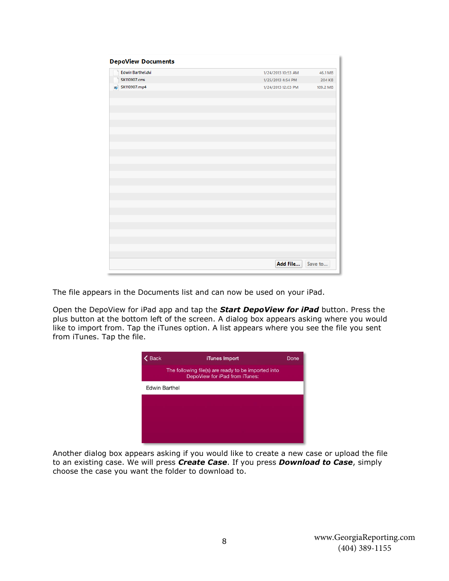| <b>DepoView Documents</b> |                    |          |
|---------------------------|--------------------|----------|
| Edwin Barthel.dvi         | 1/24/2013 10:53 AM | 46.1 MB  |
| SK110907.cms              | 1/25/2013 4:54 PM  | 204 KB   |
| <b>B</b> SK110907.mp4     | 1/24/2013 12:03 PM | 109.2 MB |
|                           |                    |          |
|                           |                    |          |
|                           |                    |          |
|                           |                    |          |
|                           |                    |          |
|                           |                    |          |
|                           |                    |          |
|                           |                    |          |
|                           |                    |          |
|                           |                    |          |
|                           |                    |          |
|                           |                    |          |
|                           |                    |          |
|                           |                    |          |
|                           |                    |          |
|                           |                    |          |
|                           |                    |          |
|                           |                    |          |
|                           |                    |          |
|                           |                    |          |
|                           |                    |          |
|                           |                    |          |
|                           |                    |          |
|                           | Add File           | Save to  |

The file appears in the Documents list and can now be used on your iPad.

Open the DepoView for iPad app and tap the *Start DepoView for iPad* button. Press the plus button at the bottom left of the screen. A dialog box appears asking where you would like to import from. Tap the iTunes option. A list appears where you see the file you sent from iTunes. Tap the file.

| iTunes Import                                                                         | Done                 |
|---------------------------------------------------------------------------------------|----------------------|
| The following file(s) are ready to be imported into<br>DepoView for iPad from iTunes: |                      |
|                                                                                       |                      |
|                                                                                       |                      |
|                                                                                       |                      |
|                                                                                       |                      |
|                                                                                       |                      |
|                                                                                       | <b>Edwin Barthel</b> |

Another dialog box appears asking if you would like to create a new case or upload the file to an existing case. We will press *Create Case*. If you press *Download to Case*, simply choose the case you want the folder to download to.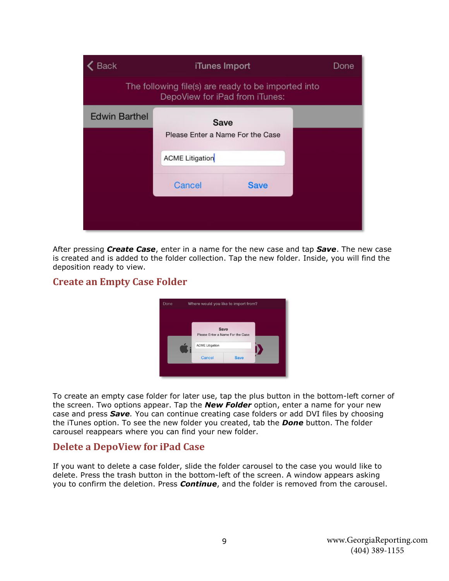| <b>Back</b>                                                                           | iTunes Import          |                                          |  |  |  |
|---------------------------------------------------------------------------------------|------------------------|------------------------------------------|--|--|--|
| The following file(s) are ready to be imported into<br>DepoView for iPad from iTunes: |                        |                                          |  |  |  |
| <b>Edwin Barthel</b>                                                                  |                        | Save<br>Please Enter a Name For the Case |  |  |  |
|                                                                                       | <b>ACME Litigation</b> |                                          |  |  |  |
|                                                                                       | Cancel                 | <b>Save</b>                              |  |  |  |
|                                                                                       |                        |                                          |  |  |  |

After pressing *Create Case*, enter in a name for the new case and tap *Save*. The new case is created and is added to the folder collection. Tap the new folder. Inside, you will find the deposition ready to view.

### <span id="page-9-0"></span>**Create an Empty Case Folder**



To create an empty case folder for later use, tap the plus button in the bottom-left corner of the screen. Two options appear. Tap the *New Folder* option, enter a name for your new case and press *Save.* You can continue creating case folders or add DVI files by choosing the iTunes option. To see the new folder you created, tab the *Done* button. The folder carousel reappears where you can find your new folder.

#### <span id="page-9-1"></span>**Delete a DepoView for iPad Case**

If you want to delete a case folder, slide the folder carousel to the case you would like to delete. Press the trash button in the bottom-left of the screen. A window appears asking you to confirm the deletion. Press *Continue*, and the folder is removed from the carousel.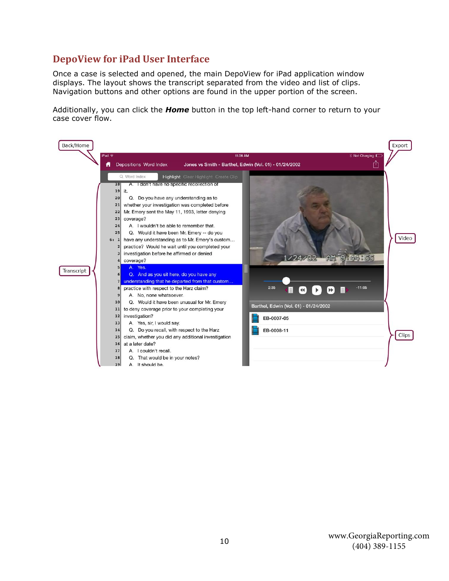#### <span id="page-10-0"></span>**DepoView for iPad User Interface**

Once a case is selected and opened, the main DepoView for iPad application window displays. The layout shows the transcript separated from the video and list of clips. Navigation buttons and other options are found in the upper portion of the screen.

Additionally, you can click the *Home* button in the top left-hand corner to return to your case cover flow.

| Back/Home  | <b><i><u></u></i></b> Not Charging ■<br>iPad $\widehat{\mathbf{z}}$<br>11:06 AM<br>ि<br>Depositions Word Index<br>Jones vs Smith - Barthel, Edwin (Vol. 01) - 01/24/2002<br>Ħ                                                                                                                                                                                                                                                                                                                                                                                                                                                                                                                                                                                                                                                           | Export |
|------------|-----------------------------------------------------------------------------------------------------------------------------------------------------------------------------------------------------------------------------------------------------------------------------------------------------------------------------------------------------------------------------------------------------------------------------------------------------------------------------------------------------------------------------------------------------------------------------------------------------------------------------------------------------------------------------------------------------------------------------------------------------------------------------------------------------------------------------------------|--------|
| Transcript | Q. Word Index<br><b>Highlight</b> Clear Highlight Create Clip<br>A. I don't have no specific recollection of<br>18<br>19<br>it.<br>Q. Do you have any understanding as to<br>20<br>whether your investigation was completed before<br>21<br>Mr. Emery sent the May 11, 1993, letter denying<br>22<br>coverage?<br>23<br>A. I wouldn't be able to remember that.<br>24<br>Q. Would it have been Mr. Emery -- do you<br>25<br>have any understanding as to Mr. Emery's custom<br>6: 1<br>practice? Would he wait until you completed your<br>$\overline{2}$<br>investigation before he affirmed or denied<br>$1/24/02$ and $9.44.55$<br>coverage?<br>A. Yes.<br>5<br>Q. And as you sit here, do you have any<br>6<br>understanding that he departed from that custom<br>$-11:05$<br>2:35<br>practice with respect to the Harz claim?<br>8 | Video  |
|            | A. No, none whatsoever.<br>9<br>Q. Would it have been unusual for Mr. Emery<br>10<br>Barthel, Edwin (Vol. 01) - 01/24/2002<br>to deny coverage prior to your completing your<br>11<br>investigation?<br>12<br>EB-0007-05<br>A. Yes, sir, I would say.<br>13<br>Q. Do you recall, with respect to the Harz<br>EB-0008-11<br>14<br>claim, whether you did any additional investigation<br>15<br>at a later date?<br>16<br>A. I couldn't recall.<br>17<br>Q. That would be in your notes?<br>18<br>A. It should be.<br>19                                                                                                                                                                                                                                                                                                                  | Clips  |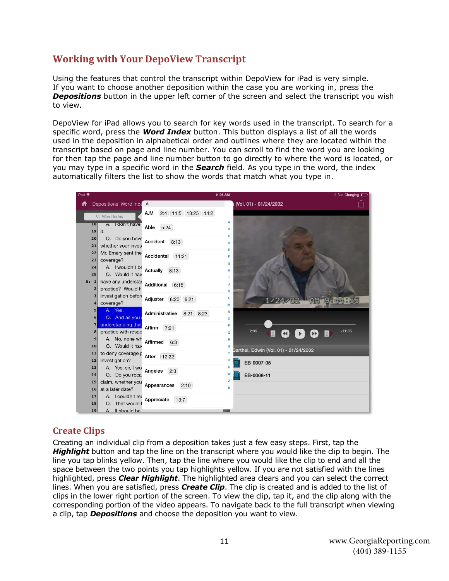### <span id="page-11-0"></span>**Working with Your DepoView Transcript**

Using the features that control the transcript within DepoView for iPad is very simple. If you want to choose another deposition within the case you are working in, press the **Depositions** button in the upper left corner of the screen and select the transcript you wish to view.

DepoView for iPad allows you to search for key words used in the transcript. To search for a specific word, press the *Word Index* button. This button displays a list of all the words used in the deposition in alphabetical order and outlines where they are located within the transcript based on page and line number. You can scroll to find the word you are looking for then tap the page and line number button to go directly to where the word is located, or you may type in a specific word in the *Search* field. As you type in the word, the index automatically filters the list to show the words that match what you type in.



#### <span id="page-11-1"></span>**Create Clips**

Creating an individual clip from a deposition takes just a few easy steps. First, tap the *Highlight* button and tap the line on the transcript where you would like the clip to begin. The line you tap blinks yellow. Then, tap the line where you would like the clip to end and all the space between the two points you tap highlights yellow. If you are not satisfied with the lines highlighted, press *Clear Highlight*. The highlighted area clears and you can select the correct lines. When you are satisfied, press *Create Clip*. The clip is created and is added to the list of clips in the lower right portion of the screen. To view the clip, tap it, and the clip along with the corresponding portion of the video appears. To navigate back to the full transcript when viewing a clip, tap *Depositions* and choose the deposition you want to view.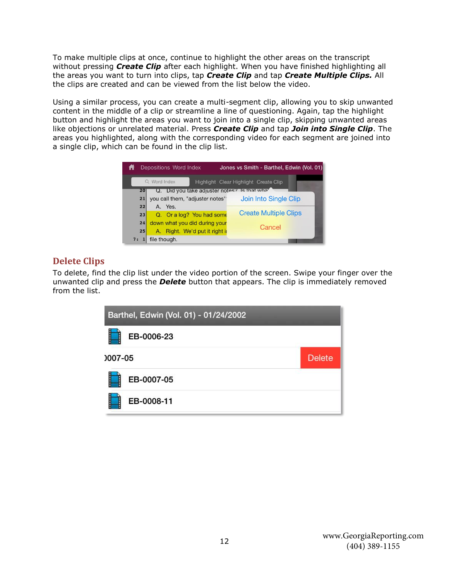To make multiple clips at once, continue to highlight the other areas on the transcript without pressing *Create Clip* after each highlight. When you have finished highlighting all the areas you want to turn into clips, tap *Create Clip* and tap *Create Multiple Clips.* All the clips are created and can be viewed from the list below the video.

Using a similar process, you can create a multi-segment clip, allowing you to skip unwanted content in the middle of a clip or streamline a line of questioning. Again, tap the highlight button and highlight the areas you want to join into a single clip, skipping unwanted areas like objections or unrelated material. Press *Create Clip* and tap *Join into Single Clip*. The areas you highlighted, along with the corresponding video for each segment are joined into a single clip, which can be found in the clip list.



#### <span id="page-12-0"></span>**Delete Clips**

To delete, find the clip list under the video portion of the screen. Swipe your finger over the unwanted clip and press the *Delete* button that appears. The clip is immediately removed from the list.

|         | Barthel, Edwin (Vol. 01) - 01/24/2002 |               |
|---------|---------------------------------------|---------------|
| l       | EB-0006-23                            |               |
| 0007-05 |                                       | <b>Delete</b> |
| I       | EB-0007-05                            |               |
| ŧ       | EB-0008-11                            |               |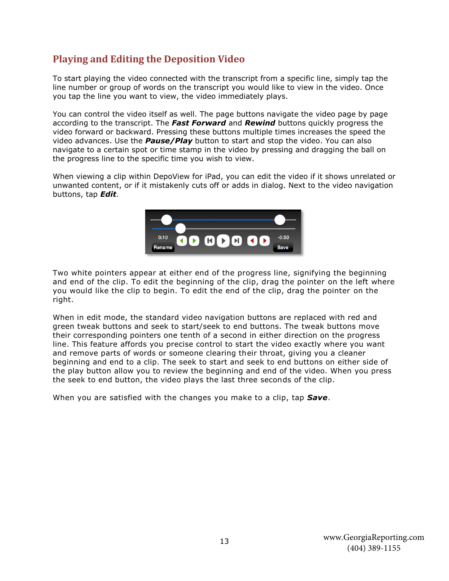### <span id="page-13-0"></span>**Playing and Editing the Deposition Video**

To start playing the video connected with the transcript from a specific line, simply tap the line number or group of words on the transcript you would like to view in the video. Once you tap the line you want to view, the video immediately plays.

You can control the video itself as well. The page buttons navigate the video page by page according to the transcript. The *Fast Forward* and *Rewind* buttons quickly progress the video forward or backward. Pressing these buttons multiple times increases the speed the video advances. Use the *Pause/Play* button to start and stop the video. You can also navigate to a certain spot or time stamp in the video by pressing and dragging the ball on the progress line to the specific time you wish to view.

When viewing a clip within DepoView for iPad, you can edit the video if it shows unrelated or unwanted content, or if it mistakenly cuts off or adds in dialog. Next to the video navigation buttons, tap *Edit*.



Two white pointers appear at either end of the progress line, signifying the beginning and end of the clip. To edit the beginning of the clip, drag the pointer on the left where you would like the clip to begin. To edit the end of the clip, drag the pointer on the right.

When in edit mode, the standard video navigation buttons are replaced with red and green tweak buttons and seek to start/seek to end buttons. The tweak buttons move their corresponding pointers one tenth of a second in either direction on the progress line. This feature affords you precise control to start the video exactly where you want and remove parts of words or someone clearing their throat, giving you a cleaner beginning and end to a clip. The seek to start and seek to end buttons on either side of the play button allow you to review the beginning and end of the video. When you press the seek to end button, the video plays the last three seconds of the clip.

When you are satisfied with the changes you make to a clip, tap *Save*.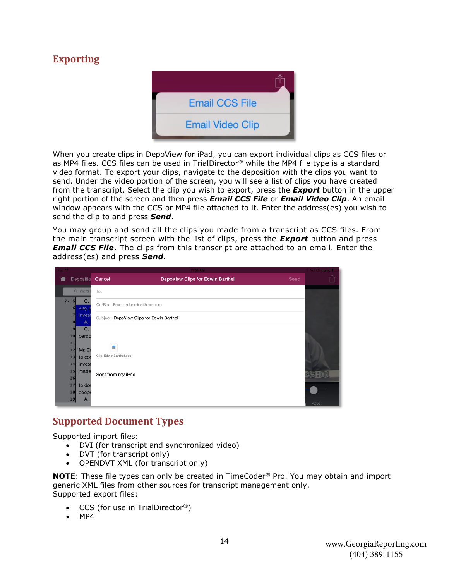# <span id="page-14-0"></span>**Exporting**



When you create clips in DepoView for iPad, you can export individual clips as CCS files or as MP4 files. CCS files can be used in TrialDirector® while the MP4 file type is a standard video format. To export your clips, navigate to the deposition with the clips you want to send. Under the video portion of the screen, you will see a list of clips you have created from the transcript. Select the clip you wish to export, press the *Export* button in the upper right portion of the screen and then press *Email CCS File* or *Email Video Clip*. An email window appears with the CCS or MP4 file attached to it. Enter the address(es) you wish to send the clip to and press *Send*.

You may group and send all the clips you made from a transcript as CCS files. From the main transcript screen with the list of clips, press the *Export* button and press *Email CCS File*. The clips from this transcript are attached to an email. Enter the address(es) and press *Send.*

| ad - |                                             | 11:09 AM                                   | Not Charging II |
|------|---------------------------------------------|--------------------------------------------|-----------------|
| fi   | Depositio                                   | Cancel<br>DepoView Clips for Edwin Barthel | ń<br>Send       |
|      | Q Word I                                    | To:                                        |                 |
| 7:   | Q.<br>51<br>6<br>way n                      | Cc/Bcc, From: rdcardon@me.com              |                 |
|      | 7 <sup>1</sup><br>invest<br>$\vert$ 8<br>Α. | Subject: DepoView Clips for Edwin Barthel  |                 |
|      | Q.<br>9                                     |                                            |                 |
|      | 10<br>pardc                                 |                                            |                 |
|      | 11                                          |                                            |                 |
|      | $12$<br>Mr. Er                              | ₿                                          |                 |
|      | $13$<br>to cor                              | Clip-EdwinBarthel.ccs                      |                 |
|      | 14<br>invest                                |                                            |                 |
|      | $15$<br>matte                               |                                            |                 |
|      | 16                                          | Sent from my iPad                          |                 |
|      | 17<br>to do                                 |                                            |                 |
|      | 18<br>coope                                 |                                            |                 |
|      | 19<br>Α.                                    |                                            | $-0:50$         |

#### <span id="page-14-1"></span>**Supported Document Types**

Supported import files:

- DVI (for transcript and synchronized video)
- DVT (for transcript only)
- OPENDVT XML (for transcript only)

**NOTE**: These file types can only be created in TimeCoder® Pro. You may obtain and import generic XML files from other sources for transcript management only. Supported export files:

- CCS (for use in TrialDirector®)
- MP4